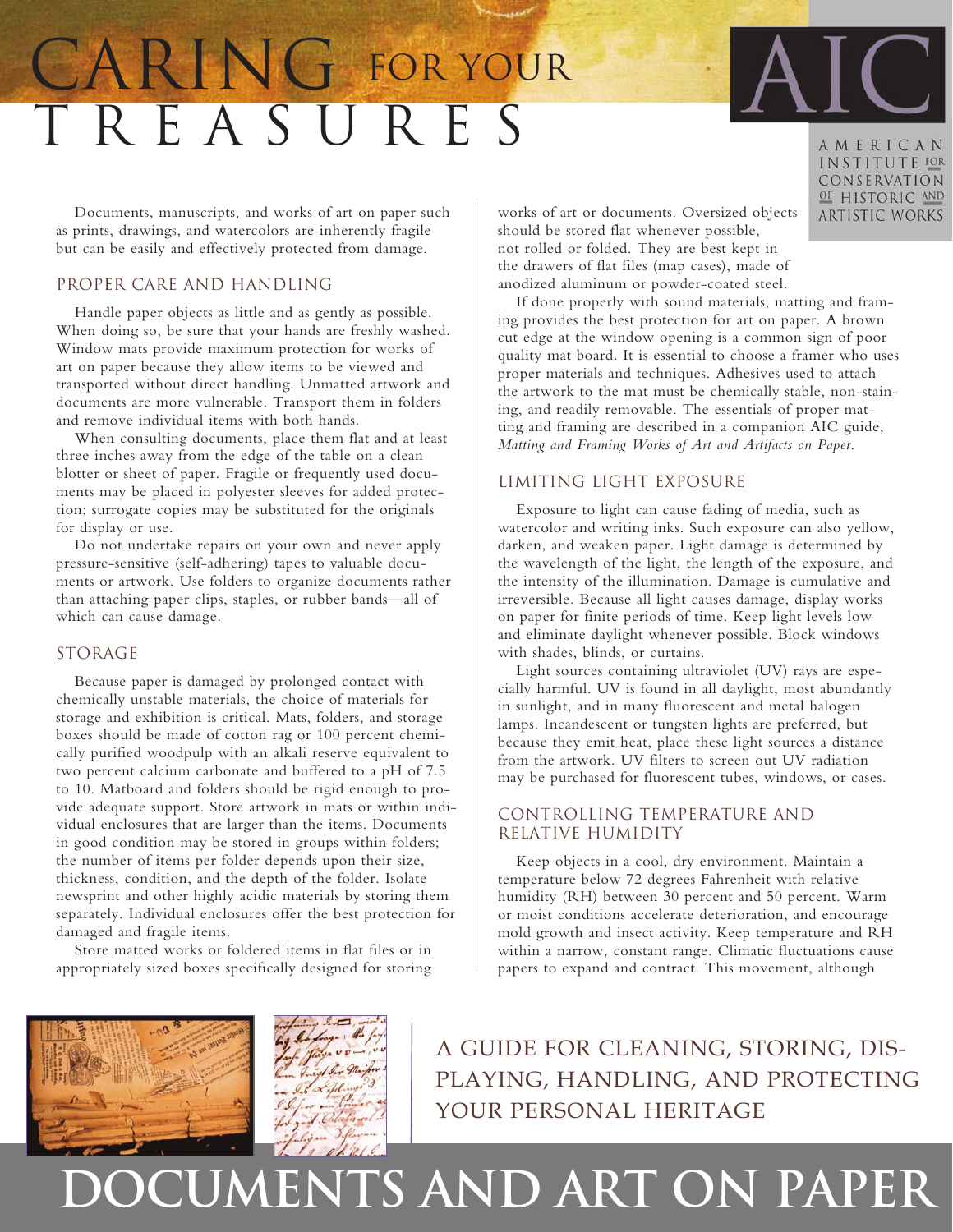# T R E A S U R E S CARING FOR YOUR

Documents, manuscripts, and works of art on paper such as prints, drawings, and watercolors are inherently fragile but can be easily and effectively protected from damage.

### Proper Care and Handling

Handle paper objects as little and as gently as possible. When doing so, be sure that your hands are freshly washed. Window mats provide maximum protection for works of art on paper because they allow items to be viewed and transported without direct handling. Unmatted artwork and documents are more vulnerable. Transport them in folders and remove individual items with both hands.

When consulting documents, place them flat and at least three inches away from the edge of the table on a clean blotter or sheet of paper. Fragile or frequently used documents may be placed in polyester sleeves for added protection; surrogate copies may be substituted for the originals for display or use.

Do not undertake repairs on your own and never apply pressure-sensitive (self-adhering) tapes to valuable documents or artwork. Use folders to organize documents rather than attaching paper clips, staples, or rubber bands—all of which can cause damage.

### STORAGE

Because paper is damaged by prolonged contact with chemically unstable materials, the choice of materials for storage and exhibition is critical. Mats, folders, and storage boxes should be made of cotton rag or 100 percent chemically purified woodpulp with an alkali reserve equivalent to two percent calcium carbonate and buffered to a pH of 7.5 to 10. Matboard and folders should be rigid enough to provide adequate support. Store artwork in mats or within individual enclosures that are larger than the items. Documents in good condition may be stored in groups within folders; the number of items per folder depends upon their size, thickness, condition, and the depth of the folder. Isolate newsprint and other highly acidic materials by storing them separately. Individual enclosures offer the best protection for damaged and fragile items.

Store matted works or foldered items in flat files or in appropriately sized boxes specifically designed for storing

works of art or documents. Oversized objects should be stored flat whenever possible, not rolled or folded. They are best kept in the drawers of flat files (map cases), made of anodized aluminum or powder-coated steel.

If done properly with sound materials, matting and framing provides the best protection for art on paper. A brown cut edge at the window opening is a common sign of poor quality mat board. It is essential to choose a framer who uses proper materials and techniques. Adhesives used to attach the artwork to the mat must be chemically stable, non-staining, and readily removable. The essentials of proper matting and framing are described in a companion AIC guide, *Matting and Framing Works of Art and Artifacts on Paper*.

## Limiting Light Exposure

Exposure to light can cause fading of media, such as watercolor and writing inks. Such exposure can also yellow, darken, and weaken paper. Light damage is determined by the wavelength of the light, the length of the exposure, and the intensity of the illumination. Damage is cumulative and irreversible. Because all light causes damage, display works on paper for finite periods of time. Keep light levels low and eliminate daylight whenever possible. Block windows with shades, blinds, or curtains.

Light sources containing ultraviolet (UV) rays are especially harmful. UV is found in all daylight, most abundantly in sunlight, and in many fluorescent and metal halogen lamps. Incandescent or tungsten lights are preferred, but because they emit heat, place these light sources a distance from the artwork. UV filters to screen out UV radiation may be purchased for fluorescent tubes, windows, or cases.

## Controlling Temperature and Relative Humidity

Keep objects in a cool, dry environment. Maintain a temperature below 72 degrees Fahrenheit with relative humidity (RH) between 30 percent and 50 percent. Warm or moist conditions accelerate deterioration, and encourage mold growth and insect activity. Keep temperature and RH within a narrow, constant range. Climatic fluctuations cause papers to expand and contract. This movement, although

A guide for cleaning, storing, displaying, handling, and protecting your personal heritage

## **documents and art on paper**

AMERICAN INSTITUTE FOR CONSERVATION OF HISTORIC AND **ARTISTIC WORKS**